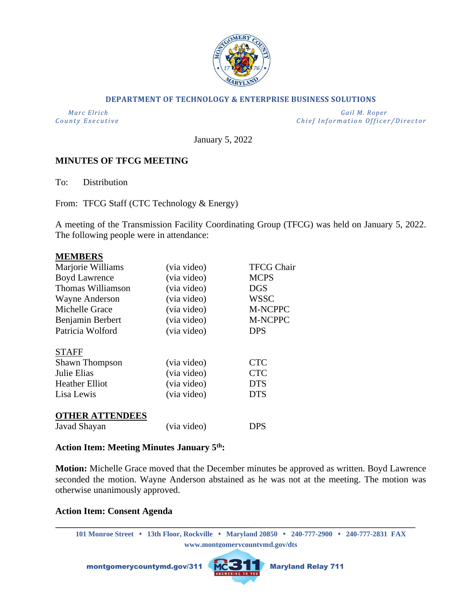

#### **DEPARTMENT OF TECHNOLOGY & ENTERPRISE BUSINESS SOLUTIONS**

 *Marc Elrich Gail M. Roper County Executive County Executive Chief Information Officer/Director* 

January 5, 2022

## **MINUTES OF TFCG MEETING**

To: Distribution

From: TFCG Staff (CTC Technology & Energy)

A meeting of the Transmission Facility Coordinating Group (TFCG) was held on January 5, 2022. The following people were in attendance:

#### **MEMBERS**

| Marjorie Williams      | (via video) | <b>TFCG Chair</b> |
|------------------------|-------------|-------------------|
| <b>Boyd Lawrence</b>   | (via video) | <b>MCPS</b>       |
| Thomas Williamson      | (via video) | <b>DGS</b>        |
| Wayne Anderson         | (via video) | <b>WSSC</b>       |
| Michelle Grace         | (via video) | M-NCPPC           |
| Benjamin Berbert       | (via video) | <b>M-NCPPC</b>    |
| Patricia Wolford       | (via video) | <b>DPS</b>        |
| <b>STAFF</b>           |             |                   |
| <b>Shawn Thompson</b>  | (via video) | <b>CTC</b>        |
| Julie Elias            | (via video) | <b>CTC</b>        |
| <b>Heather Elliot</b>  | (via video) | <b>DTS</b>        |
| Lisa Lewis             | (via video) | <b>DTS</b>        |
| <b>OTHER ATTENDEES</b> |             |                   |
| Javad Shayan           | (via video) | DPS               |

### **Action Item: Meeting Minutes January 5th:**

**Motion:** Michelle Grace moved that the December minutes be approved as written. Boyd Lawrence seconded the motion. Wayne Anderson abstained as he was not at the meeting. The motion was otherwise unanimously approved.

#### **Action Item: Consent Agenda**

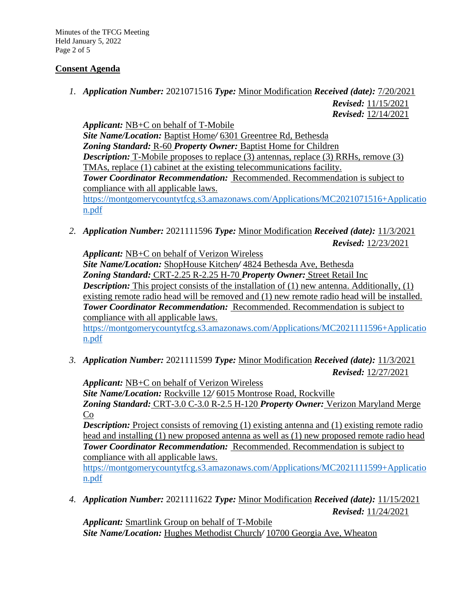Minutes of the TFCG Meeting Held January 5, 2022 Page 2 of 5

# **Consent Agenda**

*1. Application Number:* 2021071516 *Type:* Minor Modification *Received (date):* 7/20/2021 *Revised:* 11/15/2021

*Revised:* 12/14/2021

*Applicant:* NB+C on behalf of T-Mobile *Site Name/Location:* Baptist Home*/* 6301 Greentree Rd, Bethesda *Zoning Standard:* R-60 *Property Owner:* Baptist Home for Children *Description:* T-Mobile proposes to replace (3) antennas, replace (3) RRHs, remove (3) TMAs, replace (1) cabinet at the existing telecommunications facility. *Tower Coordinator Recommendation:* Recommended. Recommendation is subject to compliance with all applicable laws. [https://montgomerycountytfcg.s3.amazonaws.com/Applications/MC2021071516+Applicatio](https://montgomerycountytfcg.s3.amazonaws.com/Applications/MC2021071516+Application.pdf) [n.pdf](https://montgomerycountytfcg.s3.amazonaws.com/Applications/MC2021071516+Application.pdf)

*2. Application Number:* 2021111596 *Type:* Minor Modification *Received (date):* 11/3/2021 *Revised:* 12/23/2021

*Applicant:* NB+C on behalf of Verizon Wireless *Site Name/Location:* ShopHouse Kitchen*/* 4824 Bethesda Ave, Bethesda *Zoning Standard:* CRT-2.25 R-2.25 H-70 *Property Owner:* Street Retail Inc **Description:** This project consists of the installation of (1) new antenna. Additionally, (1) existing remote radio head will be removed and (1) new remote radio head will be installed. *Tower Coordinator Recommendation:* Recommended. Recommendation is subject to compliance with all applicable laws.

[https://montgomerycountytfcg.s3.amazonaws.com/Applications/MC2021111596+Applicatio](https://montgomerycountytfcg.s3.amazonaws.com/Applications/MC2021111596+Application.pdf) [n.pdf](https://montgomerycountytfcg.s3.amazonaws.com/Applications/MC2021111596+Application.pdf)

*3. Application Number:* 2021111599 *Type:* Minor Modification *Received (date):* 11/3/2021 *Revised:* 12/27/2021

*Applicant:* NB+C on behalf of Verizon Wireless *Site Name/Location:* Rockville 12*/* 6015 Montrose Road, Rockville *Zoning Standard:* CRT-3.0 C-3.0 R-2.5 H-120 *Property Owner:* Verizon Maryland Merge Co

*Description:* Project consists of removing (1) existing antenna and (1) existing remote radio head and installing (1) new proposed antenna as well as (1) new proposed remote radio head *Tower Coordinator Recommendation:* Recommended. Recommendation is subject to compliance with all applicable laws.

[https://montgomerycountytfcg.s3.amazonaws.com/Applications/MC2021111599+Applicatio](https://montgomerycountytfcg.s3.amazonaws.com/Applications/MC2021111599+Application.pdf) [n.pdf](https://montgomerycountytfcg.s3.amazonaws.com/Applications/MC2021111599+Application.pdf)

*4. Application Number:* 2021111622 *Type:* Minor Modification *Received (date):* 11/15/2021 *Revised:* 11/24/2021

*Applicant:* Smartlink Group on behalf of T-Mobile *Site Name/Location:* Hughes Methodist Church*/* 10700 Georgia Ave, Wheaton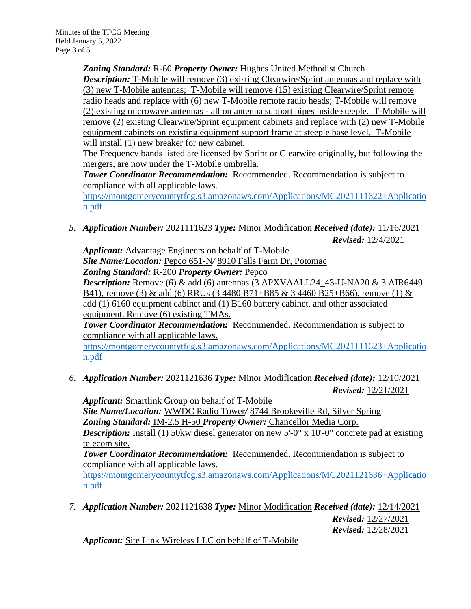*Zoning Standard:* R-60 *Property Owner:* Hughes United Methodist Church **Description:** T-Mobile will remove (3) existing Clearwire/Sprint antennas and replace with (3) new T-Mobile antennas; T-Mobile will remove (15) existing Clearwire/Sprint remote radio heads and replace with (6) new T-Mobile remote radio heads; T-Mobile will remove (2) existing microwave antennas - all on antenna support pipes inside steeple. T-Mobile will remove (2) existing Clearwire/Sprint equipment cabinets and replace with (2) new T-Mobile equipment cabinets on existing equipment support frame at steeple base level. T-Mobile will install (1) new breaker for new cabinet.

The Frequency bands listed are licensed by Sprint or Clearwire originally, but following the mergers, are now under the T-Mobile umbrella.

**Tower Coordinator Recommendation:** Recommended. Recommendation is subject to compliance with all applicable laws.

[https://montgomerycountytfcg.s3.amazonaws.com/Applications/MC2021111622+Applicatio](https://montgomerycountytfcg.s3.amazonaws.com/Applications/MC2021111622+Application.pdf) [n.pdf](https://montgomerycountytfcg.s3.amazonaws.com/Applications/MC2021111622+Application.pdf)

*5. Application Number:* 2021111623 *Type:* Minor Modification *Received (date):* 11/16/2021 *Revised:* 12/4/2021

*Applicant:* Advantage Engineers on behalf of T-Mobile *Site Name/Location:* Pepco 651-N*/* 8910 Falls Farm Dr, Potomac *Zoning Standard:* R-200 *Property Owner:* Pepco *Description:* Remove  $(6)$  & add  $(6)$  antennas  $(3$  APXVAALL24  $43$ -U-NA20 & 3 AIR6449 B41), remove (3) & add (6) RRUs (3 4480 B71+B85 & 3 4460 B25+B66), remove (1) & add (1) 6160 equipment cabinet and (1) B160 battery cabinet, and other associated equipment. Remove (6) existing TMAs.

*Tower Coordinator Recommendation:* Recommended. Recommendation is subject to compliance with all applicable laws.

[https://montgomerycountytfcg.s3.amazonaws.com/Applications/MC2021111623+Applicatio](https://montgomerycountytfcg.s3.amazonaws.com/Applications/MC2021111623+Application.pdf) [n.pdf](https://montgomerycountytfcg.s3.amazonaws.com/Applications/MC2021111623+Application.pdf)

*6. Application Number:* 2021121636 *Type:* Minor Modification *Received (date):* 12/10/2021 *Revised:* 12/21/2021

*Applicant:* Smartlink Group on behalf of T-Mobile *Site Name/Location:* WWDC Radio Tower*/* 8744 Brookeville Rd, Silver Spring *Zoning Standard:* IM-2.5 H-50 *Property Owner:* Chancellor Media Corp.

*Description:* Install (1) 50kw diesel generator on new 5'-0" x 10'-0" concrete pad at existing telecom site.

*Tower Coordinator Recommendation:* Recommended. Recommendation is subject to compliance with all applicable laws.

[https://montgomerycountytfcg.s3.amazonaws.com/Applications/MC2021121636+Applicatio](https://montgomerycountytfcg.s3.amazonaws.com/Applications/MC2021121636+Application.pdf) [n.pdf](https://montgomerycountytfcg.s3.amazonaws.com/Applications/MC2021121636+Application.pdf)

*7. Application Number:* 2021121638 *Type:* Minor Modification *Received (date):* 12/14/2021 *Revised:* 12/27/2021 *Revised:* 12/28/2021

*Applicant:* Site Link Wireless LLC on behalf of T-Mobile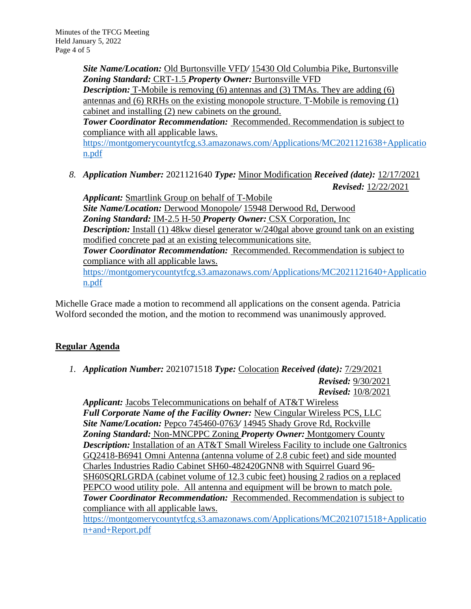*Site Name/Location:* Old Burtonsville VFD*/* 15430 Old Columbia Pike, Burtonsville *Zoning Standard:* CRT-1.5 *Property Owner:* Burtonsville VFD

**Description:** T-Mobile is removing (6) antennas and (3) TMAs. They are adding (6) antennas and (6) RRHs on the existing monopole structure. T-Mobile is removing (1) cabinet and installing (2) new cabinets on the ground.

**Tower Coordinator Recommendation:** Recommended. Recommendation is subject to compliance with all applicable laws.

[https://montgomerycountytfcg.s3.amazonaws.com/Applications/MC2021121638+Applicatio](https://montgomerycountytfcg.s3.amazonaws.com/Applications/MC2021121638+Application.pdf) [n.pdf](https://montgomerycountytfcg.s3.amazonaws.com/Applications/MC2021121638+Application.pdf)

*8. Application Number:* 2021121640 *Type:* Minor Modification *Received (date):* 12/17/2021 *Revised:* 12/22/2021

*Applicant:* Smartlink Group on behalf of T-Mobile *Site Name/Location:* Derwood Monopole*/* 15948 Derwood Rd, Derwood *Zoning Standard:* IM-2.5 H-50 *Property Owner:* CSX Corporation, Inc *Description:* Install (1) 48kw diesel generator w/240gal above ground tank on an existing modified concrete pad at an existing telecommunications site. *Tower Coordinator Recommendation:* Recommended. Recommendation is subject to compliance with all applicable laws. [https://montgomerycountytfcg.s3.amazonaws.com/Applications/MC2021121640+Applicatio](https://montgomerycountytfcg.s3.amazonaws.com/Applications/MC2021121640+Application.pdf) [n.pdf](https://montgomerycountytfcg.s3.amazonaws.com/Applications/MC2021121640+Application.pdf)

Michelle Grace made a motion to recommend all applications on the consent agenda. Patricia Wolford seconded the motion, and the motion to recommend was unanimously approved.

# **Regular Agenda**

*1. Application Number:* 2021071518 *Type:* Colocation *Received (date):* 7/29/2021 *Revised:* 9/30/2021 *Revised:* 10/8/2021

*Applicant:* Jacobs Telecommunications on behalf of AT&T Wireless *Full Corporate Name of the Facility Owner:* New Cingular Wireless PCS, LLC *Site Name/Location:* Pepco 745460-0763*/* 14945 Shady Grove Rd, Rockville *Zoning Standard:* Non-MNCPPC Zoning *Property Owner:* Montgomery County *Description:* Installation of an AT&T Small Wireless Facility to include one Galtronics GQ2418-B6941 Omni Antenna (antenna volume of 2.8 cubic feet) and side mounted Charles Industries Radio Cabinet SH60-482420GNN8 with Squirrel Guard 96- SH60SQRLGRDA (cabinet volume of 12.3 cubic feet) housing 2 radios on a replaced PEPCO wood utility pole. All antenna and equipment will be brown to match pole. *Tower Coordinator Recommendation:* Recommended. Recommendation is subject to compliance with all applicable laws.

[https://montgomerycountytfcg.s3.amazonaws.com/Applications/MC2021071518+Applicatio](https://montgomerycountytfcg.s3.amazonaws.com/Applications/MC2021071518+Application+and+Report.pdf) [n+and+Report.pdf](https://montgomerycountytfcg.s3.amazonaws.com/Applications/MC2021071518+Application+and+Report.pdf)